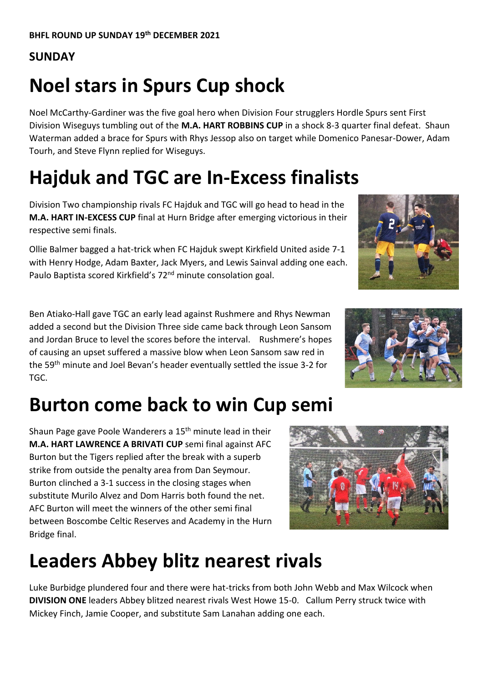#### **SUNDAY**

# **Noel stars in Spurs Cup shock**

Noel McCarthy-Gardiner was the five goal hero when Division Four strugglers Hordle Spurs sent First Division Wiseguys tumbling out of the **M.A. HART ROBBINS CUP** in a shock 8-3 quarter final defeat. Shaun Waterman added a brace for Spurs with Rhys Jessop also on target while Domenico Panesar-Dower, Adam Tourh, and Steve Flynn replied for Wiseguys.

#### **Hajduk and TGC are In-Excess finalists**

Division Two championship rivals FC Hajduk and TGC will go head to head in the **M.A. HART IN-EXCESS CUP** final at Hurn Bridge after emerging victorious in their respective semi finals.

Ollie Balmer bagged a hat-trick when FC Hajduk swept Kirkfield United aside 7-1 with Henry Hodge, Adam Baxter, Jack Myers, and Lewis Sainval adding one each. Paulo Baptista scored Kirkfield's 72<sup>nd</sup> minute consolation goal.

Ben Atiako-Hall gave TGC an early lead against Rushmere and Rhys Newman added a second but the Division Three side came back through Leon Sansom and Jordan Bruce to level the scores before the interval. Rushmere's hopes of causing an upset suffered a massive blow when Leon Sansom saw red in the 59th minute and Joel Bevan's header eventually settled the issue 3-2 for TGC.

#### **Burton come back to win Cup semi**

Shaun Page gave Poole Wanderers a 15<sup>th</sup> minute lead in their **M.A. HART LAWRENCE A BRIVATI CUP** semi final against AFC Burton but the Tigers replied after the break with a superb strike from outside the penalty area from Dan Seymour. Burton clinched a 3-1 success in the closing stages when substitute Murilo Alvez and Dom Harris both found the net. AFC Burton will meet the winners of the other semi final between Boscombe Celtic Reserves and Academy in the Hurn Bridge final.

#### **Leaders Abbey blitz nearest rivals**

Luke Burbidge plundered four and there were hat-tricks from both John Webb and Max Wilcock when **DIVISION ONE** leaders Abbey blitzed nearest rivals West Howe 15-0. Callum Perry struck twice with Mickey Finch, Jamie Cooper, and substitute Sam Lanahan adding one each.





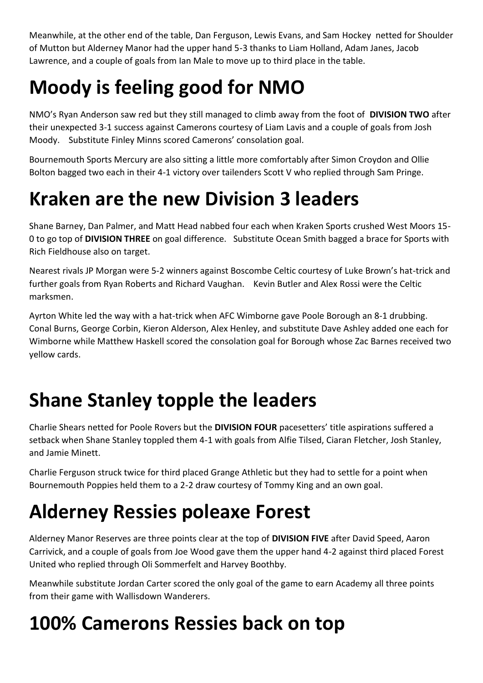Meanwhile, at the other end of the table, Dan Ferguson, Lewis Evans, and Sam Hockey netted for Shoulder of Mutton but Alderney Manor had the upper hand 5-3 thanks to Liam Holland, Adam Janes, Jacob Lawrence, and a couple of goals from Ian Male to move up to third place in the table.

# **Moody is feeling good for NMO**

NMO's Ryan Anderson saw red but they still managed to climb away from the foot of **DIVISION TWO** after their unexpected 3-1 success against Camerons courtesy of Liam Lavis and a couple of goals from Josh Moody. Substitute Finley Minns scored Camerons' consolation goal.

Bournemouth Sports Mercury are also sitting a little more comfortably after Simon Croydon and Ollie Bolton bagged two each in their 4-1 victory over tailenders Scott V who replied through Sam Pringe.

#### **Kraken are the new Division 3 leaders**

Shane Barney, Dan Palmer, and Matt Head nabbed four each when Kraken Sports crushed West Moors 15- 0 to go top of **DIVISION THREE** on goal difference. Substitute Ocean Smith bagged a brace for Sports with Rich Fieldhouse also on target.

Nearest rivals JP Morgan were 5-2 winners against Boscombe Celtic courtesy of Luke Brown's hat-trick and further goals from Ryan Roberts and Richard Vaughan. Kevin Butler and Alex Rossi were the Celtic marksmen.

Ayrton White led the way with a hat-trick when AFC Wimborne gave Poole Borough an 8-1 drubbing. Conal Burns, George Corbin, Kieron Alderson, Alex Henley, and substitute Dave Ashley added one each for Wimborne while Matthew Haskell scored the consolation goal for Borough whose Zac Barnes received two yellow cards.

## **Shane Stanley topple the leaders**

Charlie Shears netted for Poole Rovers but the **DIVISION FOUR** pacesetters' title aspirations suffered a setback when Shane Stanley toppled them 4-1 with goals from Alfie Tilsed, Ciaran Fletcher, Josh Stanley, and Jamie Minett.

Charlie Ferguson struck twice for third placed Grange Athletic but they had to settle for a point when Bournemouth Poppies held them to a 2-2 draw courtesy of Tommy King and an own goal.

## **Alderney Ressies poleaxe Forest**

Alderney Manor Reserves are three points clear at the top of **DIVISION FIVE** after David Speed, Aaron Carrivick, and a couple of goals from Joe Wood gave them the upper hand 4-2 against third placed Forest United who replied through Oli Sommerfelt and Harvey Boothby.

Meanwhile substitute Jordan Carter scored the only goal of the game to earn Academy all three points from their game with Wallisdown Wanderers.

## **100% Camerons Ressies back on top**